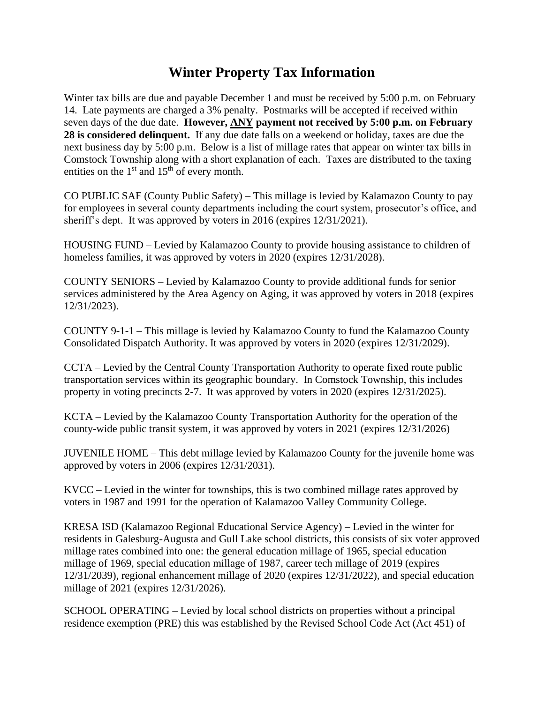## **Winter Property Tax Information**

Winter tax bills are due and payable December 1 and must be received by 5:00 p.m. on February 14. Late payments are charged a 3% penalty. Postmarks will be accepted if received within seven days of the due date. **However, ANY payment not received by 5:00 p.m. on February 28 is considered delinquent.** If any due date falls on a weekend or holiday, taxes are due the next business day by 5:00 p.m. Below is a list of millage rates that appear on winter tax bills in Comstock Township along with a short explanation of each. Taxes are distributed to the taxing entities on the  $1<sup>st</sup>$  and  $15<sup>th</sup>$  of every month.

CO PUBLIC SAF (County Public Safety) – This millage is levied by Kalamazoo County to pay for employees in several county departments including the court system, prosecutor's office, and sheriff's dept. It was approved by voters in 2016 (expires 12/31/2021).

HOUSING FUND – Levied by Kalamazoo County to provide housing assistance to children of homeless families, it was approved by voters in 2020 (expires 12/31/2028).

COUNTY SENIORS – Levied by Kalamazoo County to provide additional funds for senior services administered by the Area Agency on Aging, it was approved by voters in 2018 (expires 12/31/2023).

COUNTY 9-1-1 – This millage is levied by Kalamazoo County to fund the Kalamazoo County Consolidated Dispatch Authority. It was approved by voters in 2020 (expires 12/31/2029).

CCTA – Levied by the Central County Transportation Authority to operate fixed route public transportation services within its geographic boundary. In Comstock Township, this includes property in voting precincts 2-7. It was approved by voters in 2020 (expires 12/31/2025).

KCTA – Levied by the Kalamazoo County Transportation Authority for the operation of the county-wide public transit system, it was approved by voters in 2021 (expires 12/31/2026)

JUVENILE HOME – This debt millage levied by Kalamazoo County for the juvenile home was approved by voters in 2006 (expires 12/31/2031).

KVCC – Levied in the winter for townships, this is two combined millage rates approved by voters in 1987 and 1991 for the operation of Kalamazoo Valley Community College.

KRESA ISD (Kalamazoo Regional Educational Service Agency) – Levied in the winter for residents in Galesburg-Augusta and Gull Lake school districts, this consists of six voter approved millage rates combined into one: the general education millage of 1965, special education millage of 1969, special education millage of 1987, career tech millage of 2019 (expires 12/31/2039), regional enhancement millage of 2020 (expires 12/31/2022), and special education millage of 2021 (expires 12/31/2026).

SCHOOL OPERATING – Levied by local school districts on properties without a principal residence exemption (PRE) this was established by the Revised School Code Act (Act 451) of